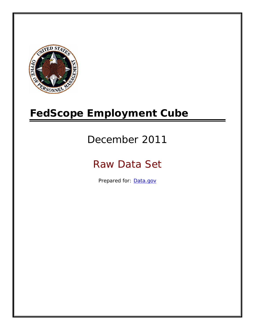

# **FedScope Employment Cube**

# December 2011

# Raw Data Set

Prepared for: [Data.gov](http://www.data.gov/)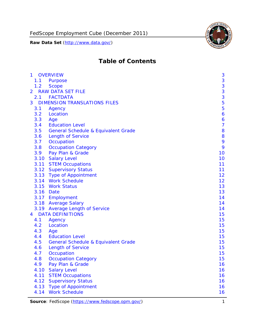FedScope Employment Cube (December 2011)

**Raw Data Set** (http://www.data.gov/)



# **Table of Contents**

| $\mathbf{1}$   | <b>OVERVIEW</b>                                | 3              |
|----------------|------------------------------------------------|----------------|
| 1.1            | Purpose                                        | 3              |
| 1.2            | <b>Scope</b>                                   | 3              |
| $\overline{2}$ | <b>RAW DATA SET FILE</b>                       | 3              |
| 2.1            | <b>FACTDATA</b>                                | 3              |
| 3              | <b>DIMENSION TRANSLATIONS FILES</b>            | 5              |
| 3.1            | Agency                                         | 5              |
| 3.2            | Location                                       | 6              |
| 3.3            | Age                                            | 6              |
| 3.4            | <b>Education Level</b>                         | $\overline{7}$ |
| 3.5            | <b>General Schedule &amp; Equivalent Grade</b> | 8              |
| 3.6            | <b>Length of Service</b>                       | 8              |
| 3.7            | Occupation                                     | 9              |
| 3.8            | <b>Occupation Category</b>                     | 9              |
| 3.9            | Pay Plan & Grade                               | 10             |
| 3.10           | <b>Salary Level</b>                            | 10             |
| 3.11           | <b>STEM Occupations</b>                        | 11             |
|                | 3.12 Supervisory Status                        | 11             |
|                | 3.13 Type of Appointment                       | 12             |
|                | 3.14 Work Schedule                             | 12             |
| 3.15           | <b>Work Status</b>                             | 13             |
|                | 3.16 Date                                      | 13             |
|                | 3.17 Employment                                | 14             |
|                | 3.18 Average Salary                            | 14             |
|                | 3.19 Average Length of Service                 | 14             |
| $\overline{4}$ | <b>DATA DEFINITIONS</b>                        | 15             |
| 4.1            | Agency                                         | 15             |
| 4.2            | Location                                       | 15             |
| 4.3            | Age                                            | 15             |
| 4.4            | <b>Education Level</b>                         | 15             |
| 4.5            | <b>General Schedule &amp; Equivalent Grade</b> | 15             |
| 4.6            | <b>Length of Service</b>                       | 15             |
| 4.7            | Occupation                                     | 15             |
| 4.8            | <b>Occupation Category</b>                     | 15             |
| 4.9            | Pay Plan & Grade                               | 16             |
| 4.10           | <b>Salary Level</b>                            | 16             |
| 4.11           | <b>STEM Occupations</b>                        | 16             |
| 4.12           | <b>Supervisory Status</b>                      | 16             |
| 4.13           | <b>Type of Appointment</b>                     | 16             |
| 4.14           | <b>Work Schedule</b>                           | 16             |

Source: FedScope (https://www.fedscope.opm.gov/) 1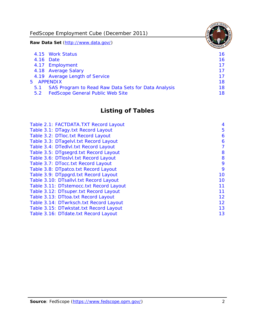FedScope Employment Cube (December 2011)

**Raw Data Set** (http://www.data.gov/)

|     | 4.15 Work Status                                    | 16 |
|-----|-----------------------------------------------------|----|
|     | 4.16 Date                                           | 16 |
|     | 4.17 Employment                                     | 17 |
|     | 4.18 Average Salary                                 | 17 |
|     | 4.19 Average Length of Service                      | 17 |
|     | 5 APPENDIX                                          | 18 |
| 5.1 | SAS Program to Read Raw Data Sets for Data Analysis | 18 |
| 5.2 | <b>FedScope General Public Web Site</b>             | 18 |

# **Listing of Tables**

| Table 2.1: FACTDATA.TXT Record Layout   | 4  |
|-----------------------------------------|----|
| Table 3.1: DTagy.txt Record Layout      | 5  |
| Table 3.2: DTloc.txt Record Layout      | 6  |
| Table 3.3: DTagelvl.txt Record Layout   | 6  |
| Table 3.4: DTedlvl.txt Record Layout    | 7  |
| Table 3.5: DTgsegrd.txt Record Layout   | 8  |
| Table 3.6: DTIoslyl.txt Record Layout   | 8  |
| Table 3.7: DTocc.txt Record Layout      | 9  |
| Table 3.8: DTpatco.txt Record Layout    | 9  |
| Table 3.9: DTppgrd.txt Record Layout    | 10 |
| Table 3.10: DTsallvl.txt Record Layout  | 10 |
| Table 3.11: DTstemocc.txt Record Layout | 11 |
| Table 3.12: DTsuper.txt Record Layout   | 11 |
| Table 3.13: DTtoa.txt Record Layout     | 12 |
| Table 3.14: DTwrksch.txt Record Layout  | 12 |
| Table 3.15: DTwkstat.txt Record Layout  | 13 |
| Table 3.16: DTdate.txt Record Layout    | 13 |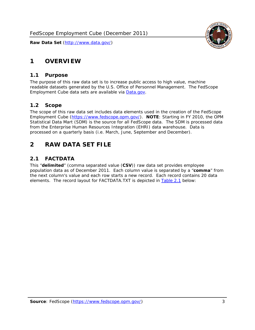# <span id="page-3-0"></span>**1 OVERVIEW**

## *1.1 Purpose*

<span id="page-3-1"></span>The purpose of this raw data set is to increase public access to high value, machine readable datasets generated by the U.S. Office of Personnel Management. The FedScope Employment Cube data sets are available via [Data.gov](http://www.data.gov/).

## <span id="page-3-2"></span>*1.2 Scope*

The scope of this raw data set includes data elements used in the creation of the FedScope Employment Cube [\(https://www.fedscope.opm.gov/\)](https://www.fedscope.opm.gov/). **NOTE**: Starting in FY 2010, the OPM Statistical Data Mart (SDM) is the source for all FedScope data. The SDM is processed data from the Enterprise Human Resources Integration (EHRI) data warehouse. Data is processed on a quarterly basis (i.e. March, June, September and December).

## <span id="page-3-3"></span>**2 RAW DATA SET FILE**

## <span id="page-3-4"></span>*2.1 FACTDATA*

This "**delimited**" (comma separated value (**CSV**)) raw data set provides employee population data as of December 2011. Each column value is separated by a "**comma**" from the next column's value and each row starts a new record. Each record contains 20 data elements. The record layout for FACTDATA.TXT is depicted in [Table 2.1](#page-4-1) below:

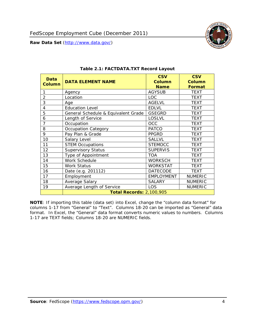

<span id="page-4-1"></span><span id="page-4-0"></span>

| Data<br><b>Column</b> | <b>DATA ELEMENT NAME</b>            | <b>CSV</b><br><b>Column</b><br><b>Name</b> | <b>CSV</b><br><b>Column</b><br><b>Format</b> |
|-----------------------|-------------------------------------|--------------------------------------------|----------------------------------------------|
|                       | Agency                              | <b>AGYSUB</b>                              | <b>TEXT</b>                                  |
| $\overline{2}$        | Location                            | LOC                                        | <b>TEXT</b>                                  |
| 3                     | Age                                 | <b>AGELVL</b>                              | <b>TEXT</b>                                  |
| 4                     | <b>Education Level</b>              | <b>EDLVL</b>                               | <b>TEXT</b>                                  |
| 5                     | General Schedule & Equivalent Grade | <b>GSEGRD</b>                              | <b>TEXT</b>                                  |
| 6                     | Length of Service                   | <b>LOSLVL</b>                              | <b>TEXT</b>                                  |
| 7                     | Occupation                          | <b>OCC</b>                                 | <b>TEXT</b>                                  |
| 8                     | <b>Occupation Category</b>          | <b>PATCO</b>                               | <b>TEXT</b>                                  |
| 9                     | Pay Plan & Grade                    | <b>PPGRD</b>                               | <b>TEXT</b>                                  |
| 10                    | Salary Level                        | <b>SALLVL</b>                              | <b>TEXT</b>                                  |
| 11                    | <b>STEM Occupations</b>             | <b>STEMOCC</b>                             | <b>TEXT</b>                                  |
| 12                    | <b>Supervisory Status</b>           | <b>SUPERVIS</b>                            | <b>TEXT</b>                                  |
| 13                    | Type of Appointment                 | <b>TOA</b>                                 | <b>TEXT</b>                                  |
| 14                    | Work Schedule                       | <b>WORKSCH</b>                             | <b>TEXT</b>                                  |
| 15                    | <b>Work Status</b>                  | <b>WORKSTAT</b>                            | <b>TEXT</b>                                  |
| 16                    | Date (e.g. 201112)                  | <b>DATECODE</b>                            | <b>TEXT</b>                                  |
| 17                    | Employment                          | <b>EMPLOYMENT</b>                          | <b>NUMERIC</b>                               |
| 18                    | Average Salary                      | <b>SALARY</b>                              | <b>NUMERIC</b>                               |
| 19                    | Average Length of Service           | LOS                                        | <b>NUMERIC</b>                               |
|                       | <b>Total Records: 2,100,905</b>     |                                            |                                              |

#### **Table 2.1: FACTDATA.TXT Record Layout**

**NOTE**: If importing this table (data set) into Excel, change the "column data format" for columns 1-17 from "General" to "Text". Columns 18-20 can be imported as "General" data format. In Excel, the "General" data format converts numeric values to numbers. Columns 1-17 are TEXT fields; Columns 18-20 are NUMERIC fields.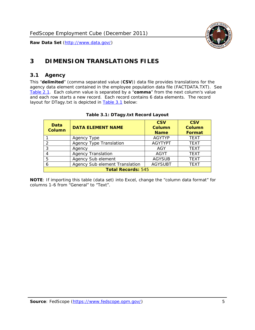

# <span id="page-5-0"></span>**3 DIMENSION TRANSLATIONS FILES**

## <span id="page-5-1"></span>*3.1 Agency*

<span id="page-5-3"></span><span id="page-5-2"></span>This "**delimited**" (comma separated value (**CSV**)) data file provides translations for the agency data element contained in the employee population data file (FACTDATA.TXT). See [Table 2.1.](#page-4-1) Each column value is separated by a "**comma**" from the next column's value and each row starts a new record. Each record contains 6 data elements. The record layout for DTagy.txt is depicted in [Table 3.1](#page-5-3) below:

| Data<br><b>Column</b>     | <b>DATA ELEMENT NAME</b>       | <b>CSV</b><br><b>Column</b><br><b>Name</b> | <b>CSV</b><br>Column<br><b>Format</b> |
|---------------------------|--------------------------------|--------------------------------------------|---------------------------------------|
|                           | Agency Type                    | <b>AGYTYP</b>                              | <b>TEXT</b>                           |
| 2                         | <b>Agency Type Translation</b> | <b>AGYTYPT</b>                             | <b>TEXT</b>                           |
| 3                         | Agency                         | AGY                                        | <b>TEXT</b>                           |
|                           | <b>Agency Translation</b>      | <b>AGYT</b>                                | <b>TEXT</b>                           |
| -5                        | Agency Sub element             | <b>AGYSUB</b>                              | <b>TEXT</b>                           |
|                           | Agency Sub element Translation | <b>AGYSUBT</b>                             | <b>TEXT</b>                           |
| <b>Total Records: 545</b> |                                |                                            |                                       |

#### **Table 3.1: DTagy.txt Record Layout**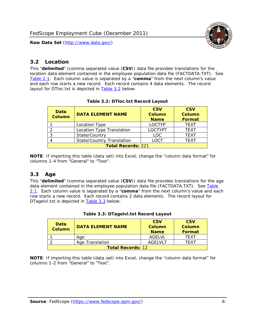

## <span id="page-6-0"></span>*3.2 Location*

<span id="page-6-4"></span><span id="page-6-2"></span>This "**delimited**" (comma separated value (**CSV**)) data file provides translations for the location data element contained in the employee population data file (FACTDATA.TXT). See [Table 2.1.](#page-4-1) Each column value is separated by a "**comma**" from the next column's value and each row starts a new record. Each record contains 4 data elements. The record layout for DTloc.txt is depicted in [Table 3.2](#page-6-4) below:

| Data<br><b>Column</b>     | <b>DATA ELEMENT NAME</b>         | <b>CSV</b><br>Column<br><b>Name</b> | <b>CSV</b><br><b>Column</b><br><b>Format</b> |
|---------------------------|----------------------------------|-------------------------------------|----------------------------------------------|
|                           | Location Type                    | <b>LOCTYP</b>                       | <b>TEXT</b>                                  |
|                           | Location Type Translation        | <b>LOCTYPT</b>                      | <b>TFXT</b>                                  |
| ⌒                         | State/Country                    | LOC.                                | <b>TEXT</b>                                  |
|                           | <b>State/Country Translation</b> | LOCT                                | <b>TFXT</b>                                  |
| <b>Total Records: 221</b> |                                  |                                     |                                              |

#### **Table 3.2: DTloc.txt Record Layout**

**NOTE**: If importing this table (data set) into Excel, change the "column data format" for columns 1-4 from "General" to "Text".

## <span id="page-6-1"></span>*3.3 Age*

<span id="page-6-5"></span><span id="page-6-3"></span>This "**delimited**" (comma separated value (**CSV**)) data file provides translations for the age data element contained in the employee population data file (FACTDATA.TXT). See [Table](#page-4-1) [2.1](#page-4-1). Each column value is separated by a "**comma**" from the next column's value and each row starts a new record. Each record contains 2 data elements. The record layout for DTagelvl.txt is depicted in **[Table 3.3](#page-6-5)** below:

| Data<br><b>Column</b>    | <b>DATA ELEMENT NAME</b> | <b>CSV</b><br>Column<br><b>Name</b> | <b>CSV</b><br>Column<br><b>Format</b> |
|--------------------------|--------------------------|-------------------------------------|---------------------------------------|
|                          | Aae                      | AGFI VI                             | TFXT                                  |
|                          | Age Translation          | AGFI VI T                           | TFXT                                  |
| <b>Total Records: 12</b> |                          |                                     |                                       |

#### **Table 3.3: DTagelvl.txt Record Layout**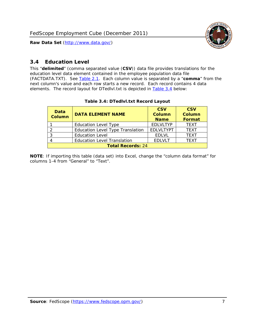

## <span id="page-7-0"></span>*3.4 Education Level*

<span id="page-7-2"></span><span id="page-7-1"></span>This "**delimited**" (comma separated value (**CSV**)) data file provides translations for the education level data element contained in the employee population data file (FACTDATA.TXT). See [Table 2.1](#page-4-1). Each column value is separated by a "**comma**" from the next column's value and each row starts a new record. Each record contains 4 data elements. The record layout for DTedlvl.txt is depicted in [Table 3.4](#page-7-2) below:

| Data<br><b>Column</b>    | <b>DATA ELEMENT NAME</b>           | <b>CSV</b><br><b>Column</b><br><b>Name</b> | <b>CSV</b><br><b>Column</b><br><b>Format</b> |
|--------------------------|------------------------------------|--------------------------------------------|----------------------------------------------|
|                          | <b>Education Level Type</b>        | <b>EDLVLTYP</b>                            | <b>TEXT</b>                                  |
|                          | Education Level Type Translation   | <b>EDLVLTYPT</b>                           | <b>TEXT</b>                                  |
|                          | <b>Education Level</b>             | <b>EDLVL</b>                               | <b>TEXT</b>                                  |
|                          | <b>Education Level Translation</b> | <b>EDLVLT</b>                              | <b>TEXT</b>                                  |
| <b>Total Records: 24</b> |                                    |                                            |                                              |

#### **Table 3.4: DTedlvl.txt Record Layout**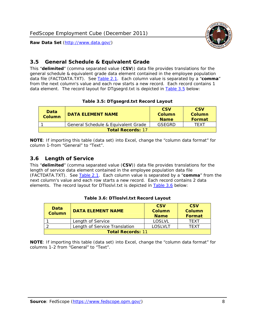

<span id="page-8-0"></span>

This "**delimited**" (comma separated value (**CSV**)) data file provides translations for the general schedule & equivalent grade data element contained in the employee population data file (FACTDATA.TXT). See [Table 2.1](#page-4-1). Each column value is separated by a "**comma**" from the next column's value and each row starts a new record. Each record contains 1 data element. The record layout for DTgsegrd.txt is depicted in [Table 3.5](#page-8-4) below:

#### **Table 3.5: DTgsegrd.txt Record Layout**

<span id="page-8-4"></span><span id="page-8-2"></span>

| Data<br>Column           | <b>DATA ELEMENT NAME</b>            | <b>CSV</b><br>Column<br><b>Name</b> | <b>CSV</b><br>Column<br>Format |
|--------------------------|-------------------------------------|-------------------------------------|--------------------------------|
|                          | General Schedule & Equivalent Grade | GSFGRD                              | <b>TFXT</b>                    |
| <b>Total Records: 17</b> |                                     |                                     |                                |

**NOTE**: If importing this table (data set) into Excel, change the "column data format" for column 1-from "General" to "Text".

## <span id="page-8-1"></span>*3.6 Length of Service*

<span id="page-8-5"></span><span id="page-8-3"></span>This "**delimited**" (comma separated value (**CSV**)) data file provides translations for the length of service data element contained in the employee population data file (FACTDATA.TXT). See [Table 2.1](#page-4-1). Each column value is separated by a "**comma**" from the next column's value and each row starts a new record. Each record contains 2 data elements. The record layout for DTloslvl.txt is depicted in [Table 3.6](#page-8-5) below:

| Data<br><b>Column</b>    | <b>DATA ELEMENT NAME</b>      | <b>CSV</b><br><b>Column</b><br><b>Name</b> | <b>CSV</b><br>Column<br>Format |
|--------------------------|-------------------------------|--------------------------------------------|--------------------------------|
|                          | Length of Service             | LOSLVL                                     | TFXT                           |
|                          | Length of Service Translation | LOSI VLT                                   | TFXT                           |
| <b>Total Records: 11</b> |                               |                                            |                                |

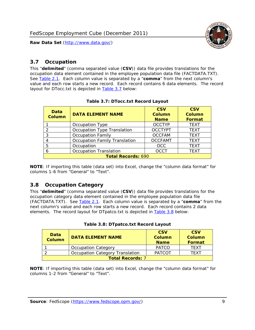

## <span id="page-9-0"></span>*3.7 Occupation*

<span id="page-9-4"></span>This "**delimited**" (comma separated value (**CSV**)) data file provides translations for the occupation data element contained in the employee population data file (FACTDATA.TXT). See [Table 2.1](#page-4-1). Each column value is separated by a "**comma**" from the next column's value and each row starts a new record. Each record contains 6 data elements. The record layout for DTocc.txt is depicted in [Table 3.7](#page-9-4) below:

<span id="page-9-2"></span>

| Data<br><b>Column</b>     | <b>DATA ELEMENT NAME</b>             | <b>CSV</b><br>Column<br><b>Name</b> | <b>CSV</b><br><b>Column</b><br><b>Format</b> |
|---------------------------|--------------------------------------|-------------------------------------|----------------------------------------------|
|                           | Occupation Type                      | <b>OCCTYP</b>                       | <b>TEXT</b>                                  |
|                           | Occupation Type Translation          | <b>OCCTYPT</b>                      | <b>TEXT</b>                                  |
| ာ                         | <b>Occupation Family</b>             | <b>OCCFAM</b>                       | <b>TEXT</b>                                  |
|                           | <b>Occupation Family Translation</b> | <b>OCCFAMT</b>                      | <b>TEXT</b>                                  |
| 5                         | Occupation                           | <b>OCC</b>                          | <b>TEXT</b>                                  |
|                           | <b>Occupation Translation</b>        | <b>OCCT</b>                         | <b>TEXT</b>                                  |
| <b>Total Records: 690</b> |                                      |                                     |                                              |

#### **Table 3.7: DTocc.txt Record Layout**

**NOTE**: If importing this table (data set) into Excel, change the "column data format" for columns 1-6 from "General" to "Text".

## <span id="page-9-1"></span>*3.8 Occupation Category*

<span id="page-9-5"></span>This "**delimited**" (comma separated value (**CSV**)) data file provides translations for the occupation category data element contained in the employee population data file (FACTDATA.TXT). See [Table 2.1](#page-4-1). Each column value is separated by a "**comma**" from the next column's value and each row starts a new record. Each record contains 2 data elements. The record layout for DTpatco.txt is depicted in [Table 3.8](#page-9-5) below:

<span id="page-9-3"></span>

| Data<br><b>Column</b>   | <b>DATA ELEMENT NAME</b>        | <b>CSV</b><br>Column<br><b>Name</b> | <b>CSV</b><br>Column<br>Format |  |
|-------------------------|---------------------------------|-------------------------------------|--------------------------------|--|
|                         | <b>Occupation Category</b>      | <b>PATCO</b>                        | <b>TFXT</b>                    |  |
|                         | Occupation Category Translation | <b>PATCOT</b>                       | TFXT                           |  |
| <b>Total Records: 7</b> |                                 |                                     |                                |  |

| Table 3.8: DTpatco.txt Record Layout |  |
|--------------------------------------|--|
|--------------------------------------|--|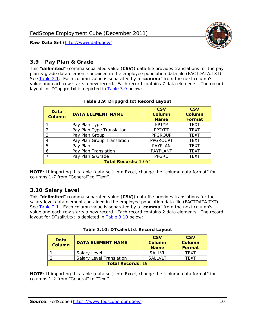

## <span id="page-10-0"></span>*3.9 Pay Plan & Grade*

<span id="page-10-4"></span>This "**delimited**" (comma separated value (**CSV**)) data file provides translations for the pay plan & grade data element contained in the employee population data file (FACTDATA.TXT). See [Table 2.1](#page-4-1). Each column value is separated by a "**comma**" from the next column's value and each row starts a new record. Each record contains 7 data elements. The record layout for DTppgrd.txt is depicted in **Table 3.9** below:

<span id="page-10-2"></span>

| Data<br><b>Column</b>       | <b>DATA ELEMENT NAME</b>   | <b>CSV</b><br>Column<br><b>Name</b> | <b>CSV</b><br>Column<br><b>Format</b> |  |
|-----------------------------|----------------------------|-------------------------------------|---------------------------------------|--|
|                             | Pay Plan Type              | <b>PPTYP</b>                        | <b>TEXT</b>                           |  |
| $\mathcal{P}$               | Pay Plan Type Translation  | <b>PPTYPT</b>                       | <b>TEXT</b>                           |  |
| 3                           | Pay Plan Group             | <b>PPGROUP</b>                      | <b>TEXT</b>                           |  |
|                             | Pay Plan Group Translation | <b>PPGROUPT</b>                     | <b>TEXT</b>                           |  |
| 5                           | Pay Plan                   | <b>PAYPLAN</b>                      | <b>TEXT</b>                           |  |
| 6                           | Pay Plan Translation       | <b>PAYPLANT</b>                     | <b>TEXT</b>                           |  |
|                             | Pay Plan & Grade           | <b>PPGRD</b>                        | <b>TEXT</b>                           |  |
| <b>Total Records: 1,054</b> |                            |                                     |                                       |  |

#### **Table 3.9: DTppgrd.txt Record Layout**

**NOTE**: If importing this table (data set) into Excel, change the "column data format" for columns 1-7 from "General" to "Text".

## <span id="page-10-1"></span>*3.10 Salary Level*

<span id="page-10-5"></span><span id="page-10-3"></span>This "**delimited**" (comma separated value (**CSV**)) data file provides translations for the salary level data element contained in the employee population data file (FACTDATA.TXT). See [Table 2.1](#page-4-1). Each column value is separated by a "**comma**" from the next column's value and each row starts a new record. Each record contains 2 data elements. The record layout for DTsallvl.txt is depicted in [Table 3.10](#page-10-5) below:

| <b>Data</b><br><b>Column</b> | <b>DATA ELEMENT NAME</b>        | <b>CSV</b><br>Column<br><b>Name</b> | <b>CSV</b><br>Column<br><b>Format</b> |
|------------------------------|---------------------------------|-------------------------------------|---------------------------------------|
|                              | Salary Level                    | <b>SALLVL</b>                       | TFXT                                  |
|                              | <b>Salary Level Translation</b> | SAI I VI T                          | TEXT                                  |
| <b>Total Records: 19</b>     |                                 |                                     |                                       |

| Table 3.10: DTsallvl.txt Record Layout |  |
|----------------------------------------|--|
|----------------------------------------|--|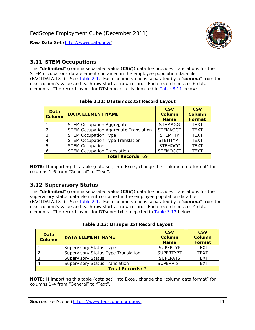

## <span id="page-11-0"></span>*3.11 STEM Occupations*

<span id="page-11-4"></span>This "**delimited**" (comma separated value (**CSV**)) data file provides translations for the STEM occupations data element contained in the employee population data file (FACTDATA.TXT). See [Table 2.1](#page-4-1). Each column value is separated by a "**comma**" from the next column's value and each row starts a new record. Each record contains 6 data elements. The record layout for DTstemocc.txt is depicted in [Table 3.11](#page-11-4) below:

<span id="page-11-2"></span>

| <b>Data</b><br><b>Column</b> | <b>DATA ELEMENT NAME</b>                     | <b>CSV</b><br><b>Column</b><br><b>Name</b> | <b>CSV</b><br><b>Column</b><br>Format |  |
|------------------------------|----------------------------------------------|--------------------------------------------|---------------------------------------|--|
|                              | <b>STEM Occupation Aggregate</b>             | <b>STEMAGG</b>                             | <b>TEXT</b>                           |  |
|                              | <b>STEM Occupation Aggregate Translation</b> | <b>STEMAGGT</b>                            | <b>TEXT</b>                           |  |
| 3                            | <b>STEM Occupation Type</b>                  | <b>STEMTYP</b>                             | <b>TFXT</b>                           |  |
|                              | <b>STEM Occupation Type Translation</b>      | <b>STEMTYPT</b>                            | <b>TEXT</b>                           |  |
| 5                            | <b>STEM Occupation</b>                       | <b>STEMOCC</b>                             | <b>TEXT</b>                           |  |
|                              | <b>STEM Occupation Translation</b>           | <b>STEMOCCT</b>                            | <b>TEXT</b>                           |  |
| <b>Total Records: 69</b>     |                                              |                                            |                                       |  |

#### **Table 3.11: DTstemocc.txt Record Layout**

**NOTE**: If importing this table (data set) into Excel, change the "column data format" for columns 1-6 from "General" to "Text".

## <span id="page-11-1"></span>*3.12 Supervisory Status*

This "**delimited**" (comma separated value (**CSV**)) data file provides translations for the supervisory status data element contained in the employee population data file (FACTDATA.TXT). See [Table 2.1](#page-4-1). Each column value is separated by a "**comma**" from the next column's value and each row starts a new record. Each record contains 4 data elements. The record layout for DTsuper.txt is depicted in [Table 3.12](#page-11-5) below:

<span id="page-11-5"></span><span id="page-11-3"></span>

| Data<br><b>Column</b>   | <b>DATA ELEMENT NAME</b>              | <b>CSV</b><br>Column<br><b>Name</b> | <b>CSV</b><br><b>Column</b><br>Format |  |  |
|-------------------------|---------------------------------------|-------------------------------------|---------------------------------------|--|--|
|                         | <b>Supervisory Status Type</b>        | <b>SUPFRTYP</b>                     | <b>TEXT</b>                           |  |  |
|                         | Supervisory Status Type Translation   | <b>SUPERTYPT</b>                    | <b>TEXT</b>                           |  |  |
|                         | <b>Supervisory Status</b>             | <b>SUPERVIS</b>                     | <b>TEXT</b>                           |  |  |
|                         | <b>Supervisory Status Translation</b> | <b>SUPERVIST</b>                    | <b>TEXT</b>                           |  |  |
| <b>Total Records: 7</b> |                                       |                                     |                                       |  |  |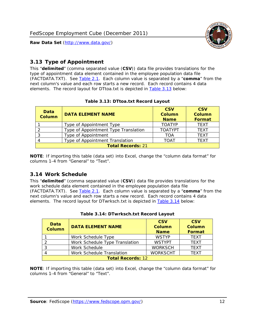

## <span id="page-12-0"></span>*3.13 Type of Appointment*

This "**delimited**" (comma separated value (**CSV**)) data file provides translations for the type of appointment data element contained in the employee population data file (FACTDATA.TXT). See [Table 2.1](#page-4-1). Each column value is separated by a "**comma**" from the next column's value and each row starts a new record. Each record contains 4 data elements. The record layout for DTtoa.txt is depicted in [Table 3.13](#page-12-4) below:

<span id="page-12-4"></span><span id="page-12-2"></span>

| Data<br><b>Column</b> | <b>DATA ELEMENT NAME</b>             | <b>CSV</b><br><b>Column</b><br><b>Name</b> | <b>CSV</b><br><b>Column</b><br>Format |
|-----------------------|--------------------------------------|--------------------------------------------|---------------------------------------|
|                       | Type of Appointment Type             | <b>TOATYP</b>                              | <b>TEXT</b>                           |
|                       | Type of Appointment Type Translation | <b>TOATYPT</b>                             | <b>TEXT</b>                           |
|                       | Type of Appointment                  | TOA                                        | <b>TEXT</b>                           |
|                       | Type of Appointment Translation      | <b>TOAT</b>                                | <b>TEXT</b>                           |
|                       | <b>Total Records: 21</b>             |                                            |                                       |

#### **Table 3.13: DTtoa.txt Record Layout**

**NOTE**: If importing this table (data set) into Excel, change the "column data format" for columns 1-4 from "General" to "Text".

## <span id="page-12-1"></span>*3.14 Work Schedule*

<span id="page-12-5"></span>This "**delimited**" (comma separated value (**CSV**)) data file provides translations for the work schedule data element contained in the employee population data file (FACTDATA.TXT). See [Table 2.1](#page-4-1). Each column value is separated by a "**comma**" from the next column's value and each row starts a new record. Each record contains 4 data elements. The record layout for DTwrksch.txt is depicted in [Table 3.14](#page-12-5) below:

<span id="page-12-3"></span>

| Data<br>Column           | <b>DATA ELEMENT NAME</b>       | <b>CSV</b><br><b>Column</b><br><b>Name</b> | <b>CSV</b><br>Column<br><b>Format</b> |  |
|--------------------------|--------------------------------|--------------------------------------------|---------------------------------------|--|
|                          | Work Schedule Type             | <b>WSTYP</b>                               | <b>TEXT</b>                           |  |
| 2                        | Work Schedule Type Translation | <b>WSTYPT</b>                              | <b>TFXT</b>                           |  |
| 3                        | Work Schedule                  | <b>WORKSCH</b>                             | <b>TFXT</b>                           |  |
|                          | Work Schedule Translation      | <b>WORKSCHT</b>                            | <b>TFXT</b>                           |  |
| <b>Total Records: 12</b> |                                |                                            |                                       |  |

|  | Table 3.14: DTwrksch.txt Record Layout |  |  |
|--|----------------------------------------|--|--|
|  |                                        |  |  |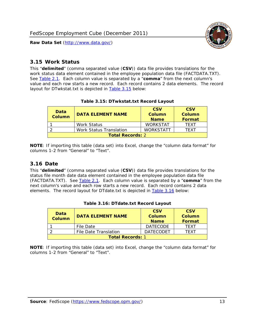

## <span id="page-13-0"></span>*3.15 Work Status*

<span id="page-13-4"></span><span id="page-13-2"></span>This "**delimited**" (comma separated value (**CSV**)) data file provides translations for the work status data element contained in the employee population data file (FACTDATA.TXT). See [Table 2.1](#page-4-1). Each column value is separated by a "**comma**" from the next column's value and each row starts a new record. Each record contains 2 data elements. The record layout for DTwkstat.txt is depicted in [Table 3.15](#page-13-4) below:

| Data<br><b>Column</b>   | <b>DATA ELEMENT NAME</b>       | <b>CSV</b><br>Column<br><b>Name</b> | <b>CSV</b><br>Column<br><b>Format</b> |
|-------------------------|--------------------------------|-------------------------------------|---------------------------------------|
|                         | <b>Work Status</b>             | <b>WORKSTAT</b>                     | TFXT                                  |
|                         | <b>Work Status Translation</b> | <b>WORKSTATT</b>                    | TFXT                                  |
| <b>Total Records: 2</b> |                                |                                     |                                       |

#### **Table 3.15: DTwkstat.txt Record Layout**

**NOTE**: If importing this table (data set) into Excel, change the "column data format" for columns 1-2 from "General" to "Text".

### <span id="page-13-1"></span>*3.16 Date*

<span id="page-13-5"></span><span id="page-13-3"></span>This "**delimited**" (comma separated value (**CSV**)) data file provides translations for the status file month date data element contained in the employee population data file (FACTDATA.TXT). See [Table 2.1](#page-4-1). Each column value is separated by a "**comma**" from the next column's value and each row starts a new record. Each record contains 2 data elements. The record layout for DTdate.txt is depicted in [Table 3.16](#page-13-5) below:

| Data<br><b>Column</b>   | <b>DATA ELEMENT NAME</b> | <b>CSV</b><br>Column<br><b>Name</b> | <b>CSV</b><br>Column<br><b>Format</b> |
|-------------------------|--------------------------|-------------------------------------|---------------------------------------|
|                         | File Date                | <b>DATECODE</b>                     | TFXT                                  |
|                         | File Date Translation    | <b>DATECODET</b>                    | TFXT                                  |
| <b>Total Records: 1</b> |                          |                                     |                                       |

**Table 3.16: DTdate.txt Record Layout**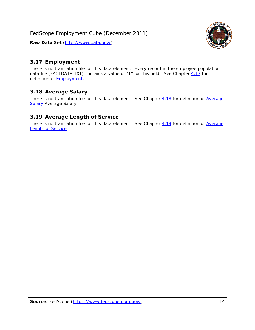<span id="page-14-0"></span>

There is no translation file for this data element. Every record in the employee population data file (FACTDATA.TXT) contains a value of "1" for this field. See Chapter [4.17](#page-16-8) for definition of **Employment**.

## <span id="page-14-1"></span>*3.18 Average Salary*

There is no translation file for this data element. See Chapter [4.18](#page-17-1) for definition of [Average](#page-17-1) **[Salary](#page-17-1) [Average Salary.](#page-17-1)** 

## <span id="page-14-2"></span>*3.19 Average Length of Service*

There is no translation file for this data element. See Chapter [4.19](#page-17-2) for definition of [Average](#page-17-2) Length of Service

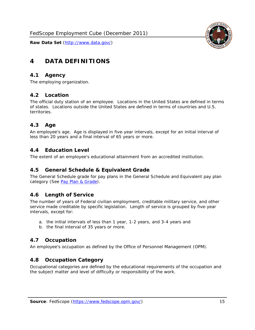

## <span id="page-15-0"></span>**4 DATA DEFINITIONS**

#### <span id="page-15-1"></span>*4.1 Agency*

The employing organization.

## <span id="page-15-2"></span>*4.2 Location*

The official duty station of an employee. Locations in the United States are defined in terms of states. Locations outside the United States are defined in terms of countries and U.S. territories.

#### <span id="page-15-3"></span>*4.3 Age*

An employee's age. Age is displayed in five-year intervals, except for an initial interval of less than 20 years and a final interval of 65 years or more.

#### <span id="page-15-4"></span>*4.4 Education Level*

The extent of an employee's educational attainment from an accredited institution.

#### <span id="page-15-5"></span>*4.5 General Schedule & Equivalent Grade*

The General Schedule grade for pay plans in the General Schedule and Equivalent pay plan category (See [Pay Plan & Grade](#page-16-0)).

#### <span id="page-15-6"></span>*4.6 Length of Service*

The number of years of Federal civilian employment, creditable military service, and other service made creditable by specific legislation. Length of service is grouped by five-year intervals, except for:

- a. the initial intervals of less than 1 year, 1-2 years, and 3-4 years and
- b. the final interval of 35 years or more.

## <span id="page-15-7"></span>*4.7 Occupation*

An employee's occupation as defined by the Office of Personnel Management (OPM).

## <span id="page-15-8"></span>*4.8 Occupation Category*

Occupational categories are defined by the educational requirements of the occupation and the subject matter and level of difficulty or responsibility of the work.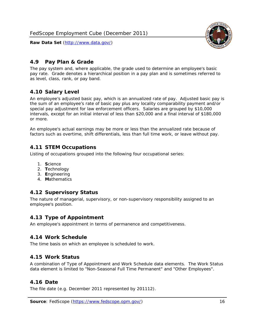<span id="page-16-0"></span>

The pay system and, where applicable, the grade used to determine an employee's basic pay rate. Grade denotes a hierarchical position in a pay plan and is sometimes referred to as level, class, rank, or pay band.

## <span id="page-16-1"></span>*4.10 Salary Level*

An employee's adjusted basic pay, which is an annualized rate of pay. Adjusted basic pay is the sum of an employee's rate of basic pay plus any locality comparability payment and/or special pay adjustment for law enforcement officers. Salaries are grouped by \$10,000 intervals, except for an initial interval of less than \$20,000 and a final interval of \$180,000 or more.

An employee's actual earnings may be more or less than the annualized rate because of factors such as overtime, shift differentials, less than full time work, or leave without pay.

## <span id="page-16-2"></span>*4.11 STEM Occupations*

Listing of occupations grouped into the following four occupational series:

- 1. **S**cience
- 2. **T**echnology
- 3. **E**ngineering
- 4. **M**athematics

## <span id="page-16-3"></span>*4.12 Supervisory Status*

The nature of managerial, supervisory, or non-supervisory responsibility assigned to an employee's position.

## <span id="page-16-4"></span>*4.13 Type of Appointment*

An employee's appointment in terms of permanence and competitiveness.

## <span id="page-16-5"></span>*4.14 Work Schedule*

The time basis on which an employee is scheduled to work.

## <span id="page-16-6"></span>*4.15 Work Status*

A combination of Type of Appointment and Work Schedule data elements. The Work Status data element is limited to "Non-Seasonal Full Time Permanent" and "Other Employees".

## <span id="page-16-7"></span>*4.16 Date*

<span id="page-16-8"></span>The file date (e.g. December 2011 represented by 201112).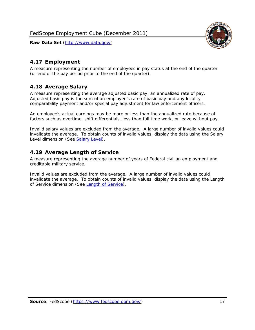

## <span id="page-17-0"></span>*4.17 Employment*

A measure representing the number of employees in pay status at the end of the quarter (or end of the pay period prior to the end of the quarter).

## <span id="page-17-1"></span>*4.18 Average Salary*

A measure representing the average adjusted basic pay, an annualized rate of pay. Adjusted basic pay is the sum of an employee's rate of basic pay and any locality comparability payment and/or special pay adjustment for law enforcement officers.

An employee's actual earnings may be more or less than the annualized rate because of factors such as overtime, shift differentials, less than full time work, or leave without pay.

Invalid salary values are excluded from the average. A large number of invalid values could invalidate the average. To obtain counts of invalid values, display the data using the Salary Level dimension (See [Salary Level\)](#page-16-1).

## <span id="page-17-2"></span>*4.19 Average Length of Service*

A measure representing the average number of years of Federal civilian employment and creditable military service.

Invalid values are excluded from the average. A large number of invalid values could invalidate the average. To obtain counts of invalid values, display the data using the Length of Service dimension (See [Length of Service](#page-15-6)).